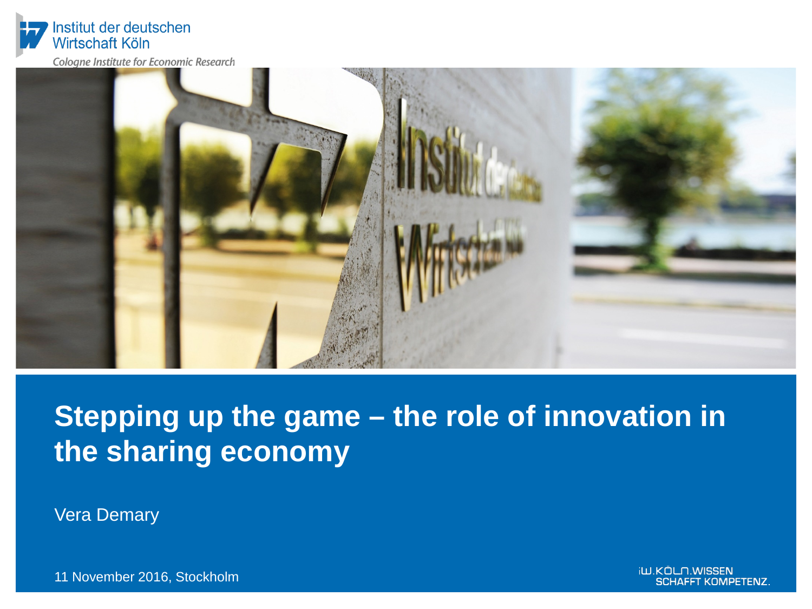

Cologne Institute for Economic Research



# **Stepping up the game – the role of innovation in the sharing economy**

Vera Demary

11 November 2016, Stockholm

**iW.KÖLN.WISSEN SCHAFFT KOMPETENZ.**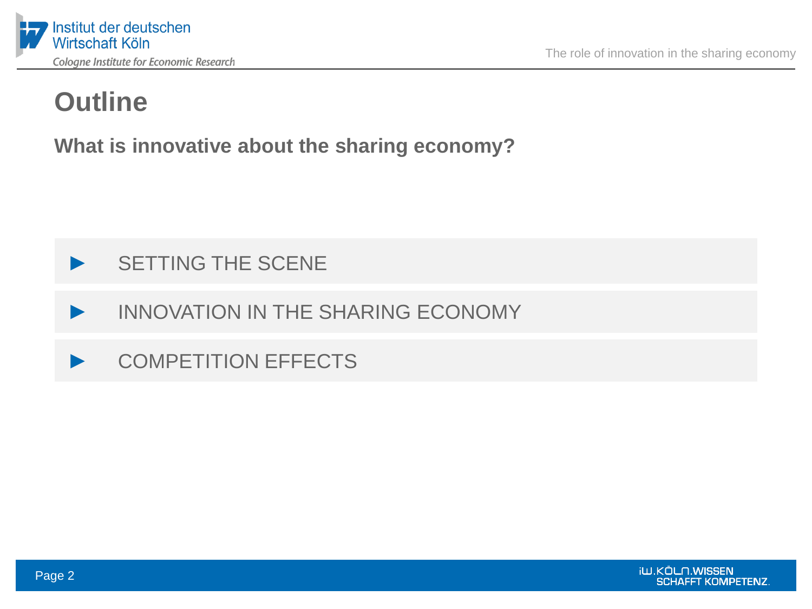

**What is innovative about the sharing economy?**



- **►** INNOVATION IN THE SHARING ECONOMY
- **►** COMPETITION EFFECTS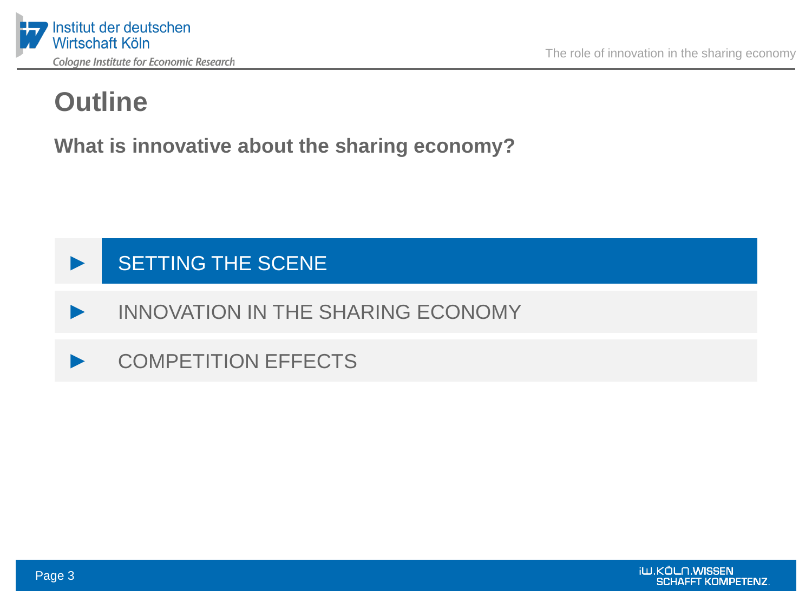

**What is innovative about the sharing economy?**



**►** INNOVATION IN THE SHARING ECONOMY

**►** COMPETITION EFFECTS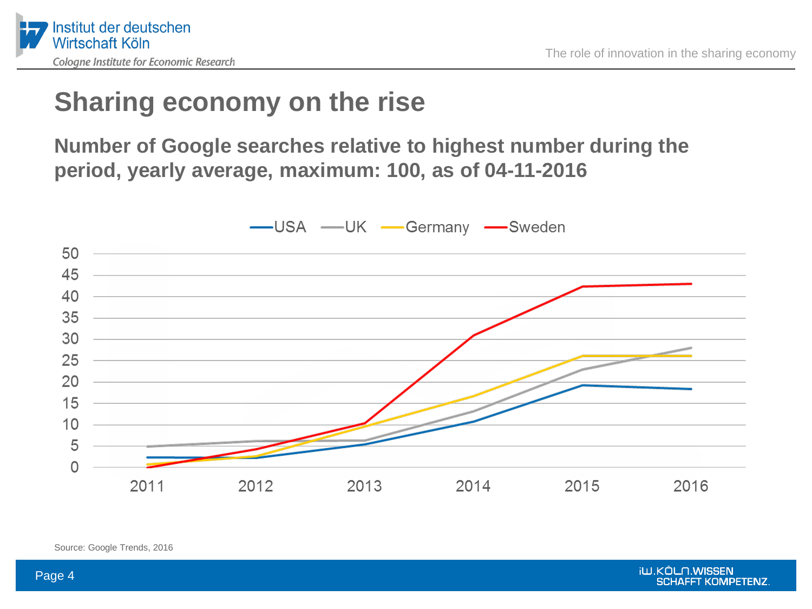

## **Sharing economy on the rise**

**Number of Google searches relative to highest number during the period, yearly average, maximum: 100, as of 04-11-2016**



Source: Google Trends, 2016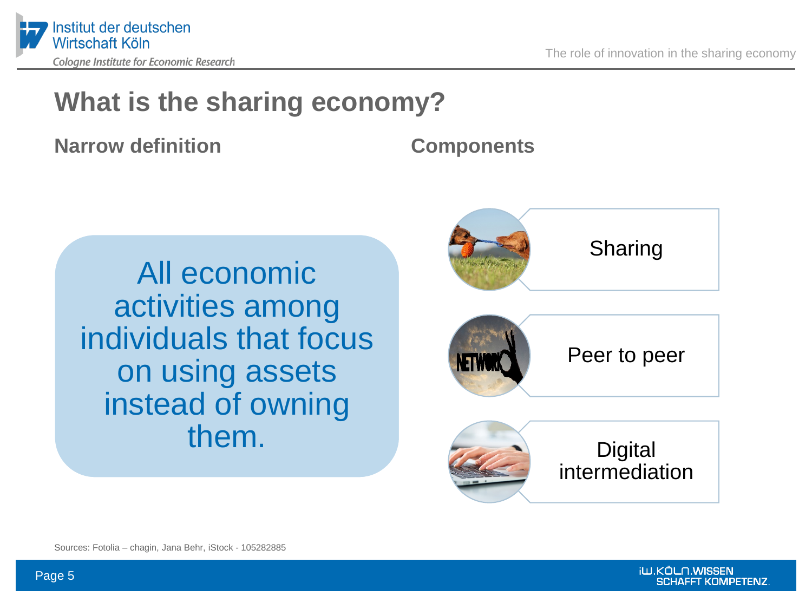

The role of innovation in the sharing economy

#### **What is the sharing economy?**

**Narrow definition Components** 

All economic activities among individuals that focus on using assets instead of owning them.



Sources: Fotolia – chagin, Jana Behr, iStock - 105282885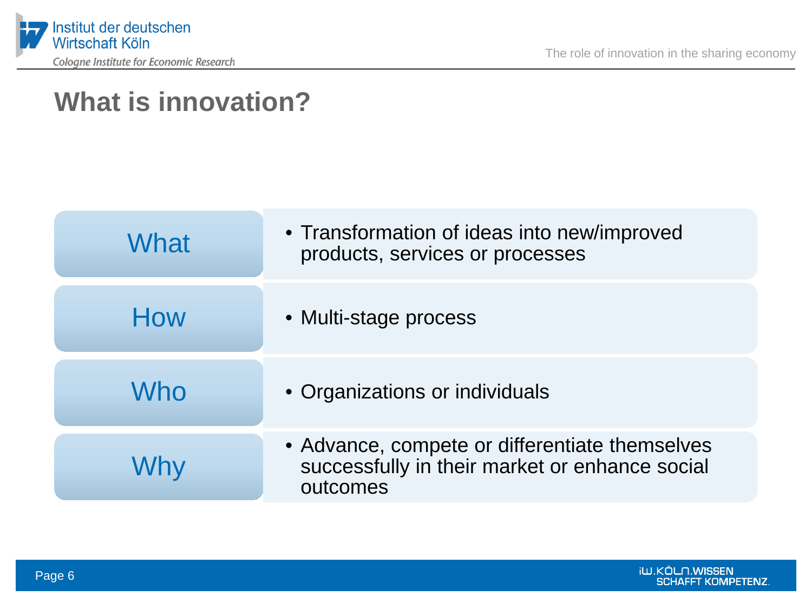

# **What is innovation?**

| What | • Transformation of ideas into new/improved<br>products, services or processes                               |
|------|--------------------------------------------------------------------------------------------------------------|
| How  | • Multi-stage process                                                                                        |
| Who  | • Organizations or individuals                                                                               |
| Why  | • Advance, compete or differentiate themselves<br>successfully in their market or enhance social<br>outcomes |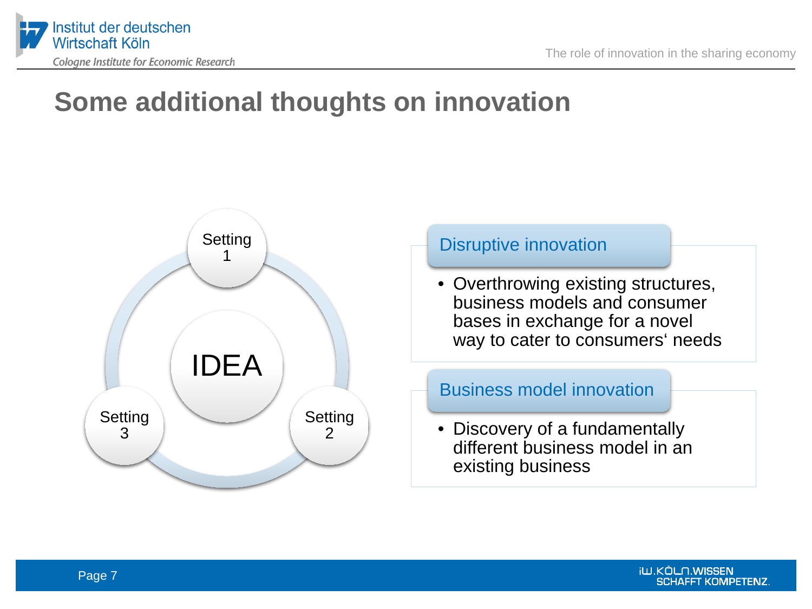



## **Some additional thoughts on innovation**



#### Disruptive innovation

• Overthrowing existing structures, business models and consumer bases in exchange for a novel way to cater to consumers' needs

#### Business model innovation

• Discovery of a fundamentally different business model in an existing business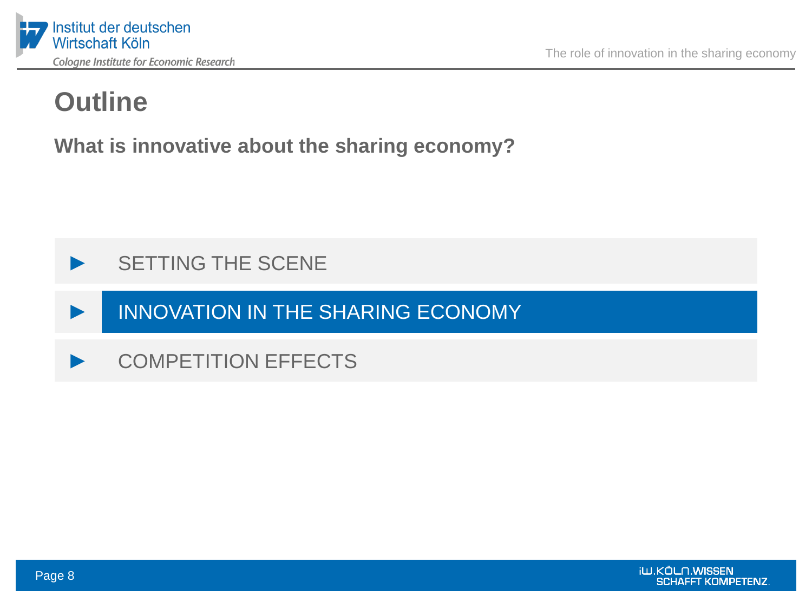

**What is innovative about the sharing economy?**



**►** INNOVATION IN THE SHARING ECONOMY

```
► COMPETITION EFFECTS
```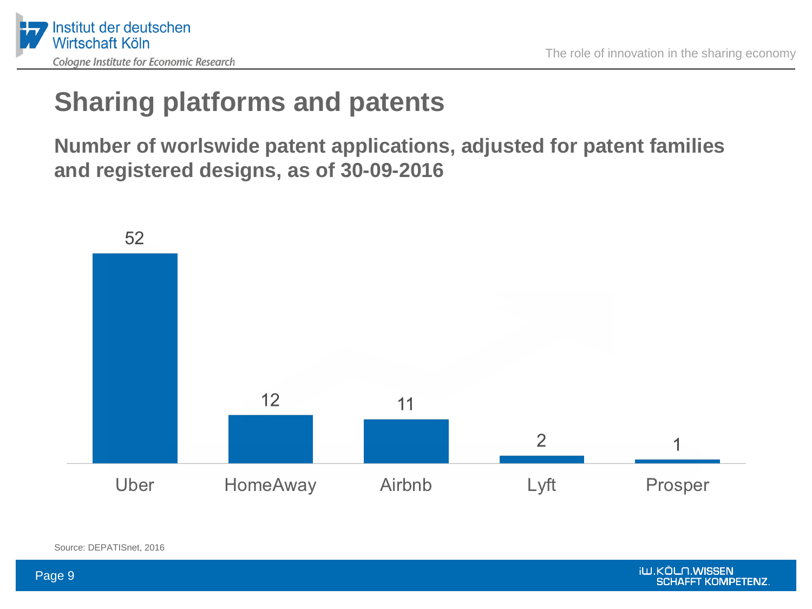

# **Sharing platforms and patents**

**Number of worlswide patent applications, adjusted for patent families and registered designs, as of 30-09-2016**



Source: DEPATISnet, 2016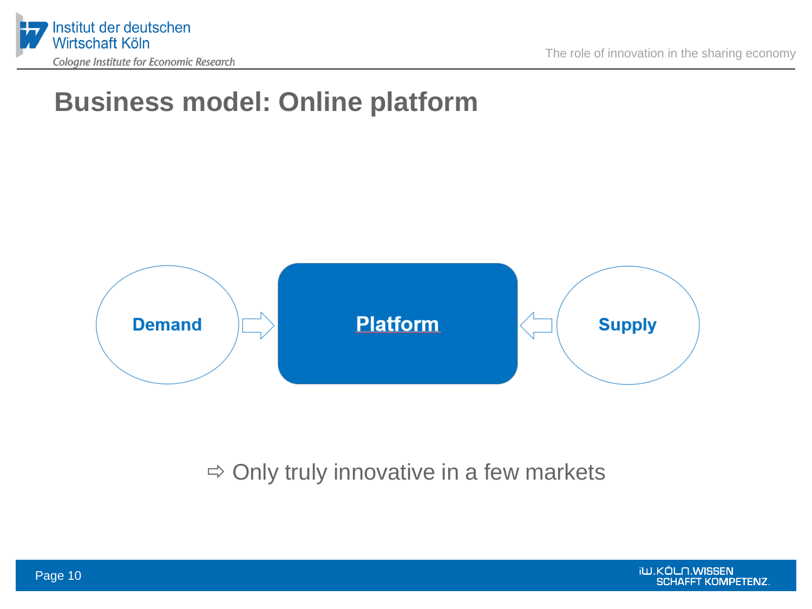

## **Business model: Online platform**



#### $\Rightarrow$  Only truly innovative in a few markets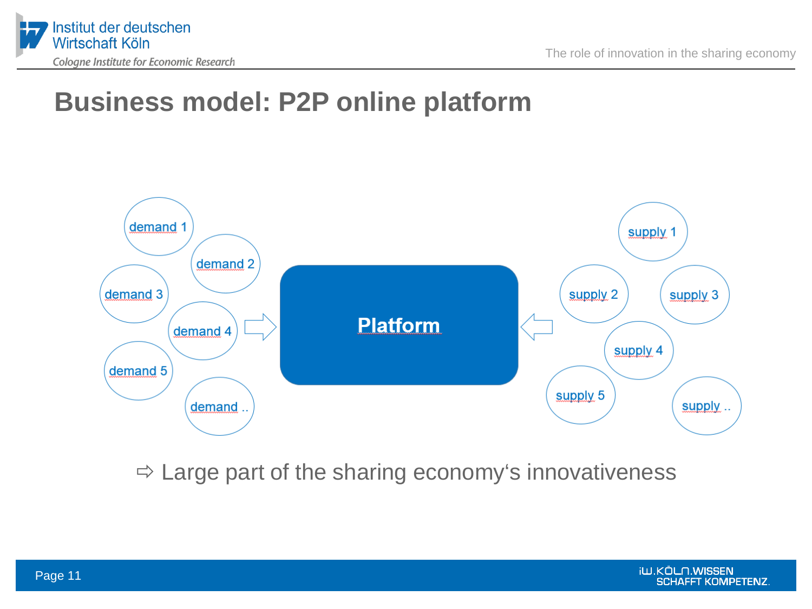



#### **Business model: P2P online platform**



 $\Rightarrow$  Large part of the sharing economy's innovativeness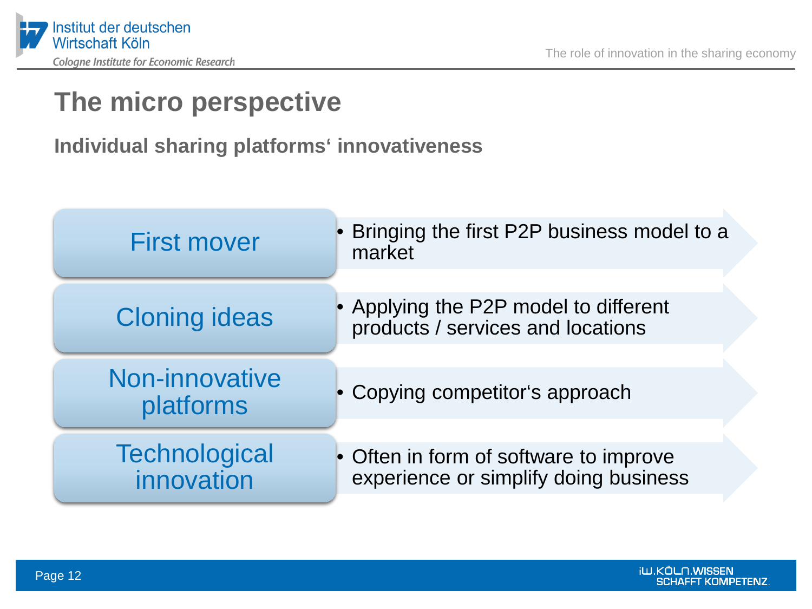

## **The micro perspective**

#### **Individual sharing platforms' innovativeness**

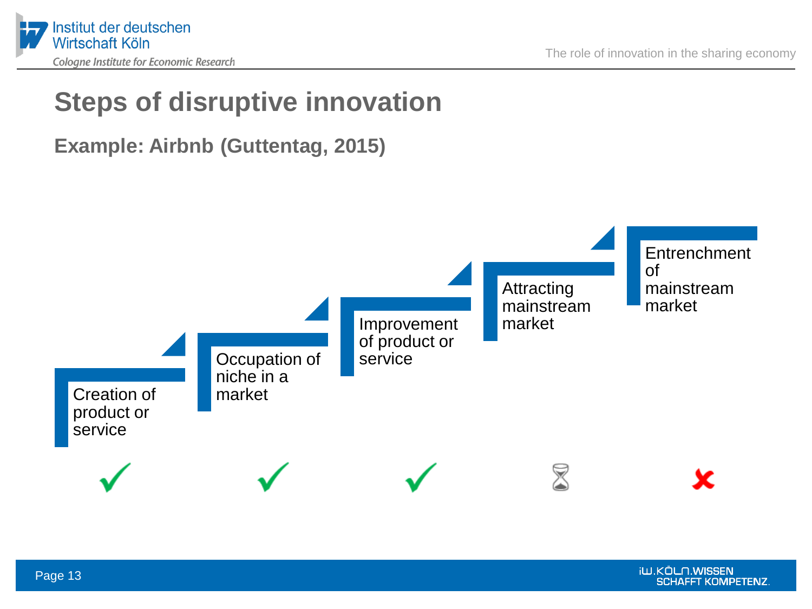

# **Steps of disruptive innovation**

#### **Example: Airbnb (Guttentag, 2015)**

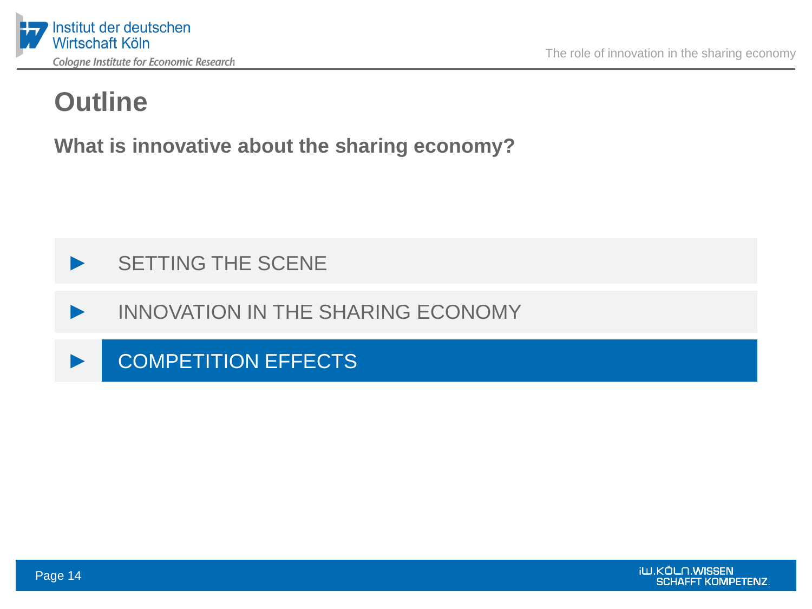

**What is innovative about the sharing economy?**



**►** INNOVATION IN THE SHARING ECONOMY

**►** COMPETITION EFFECTS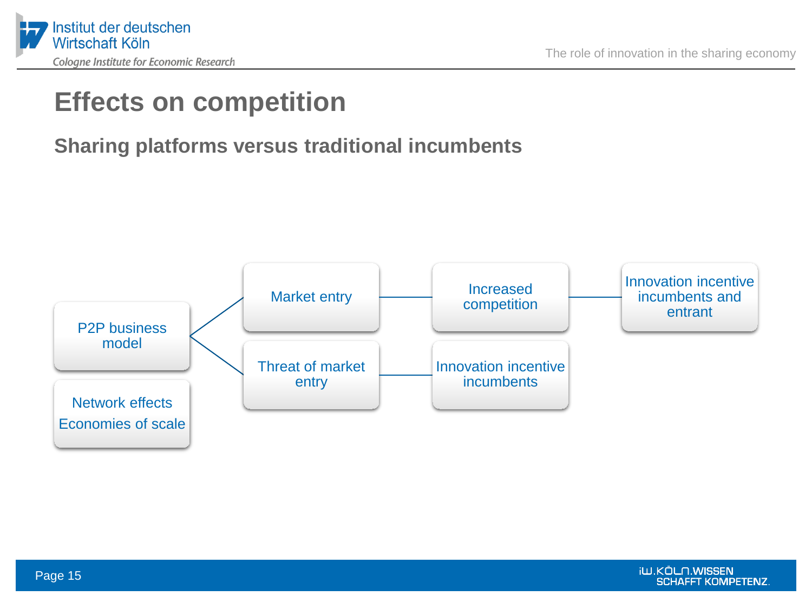

# **Effects on competition**

#### **Sharing platforms versus traditional incumbents**

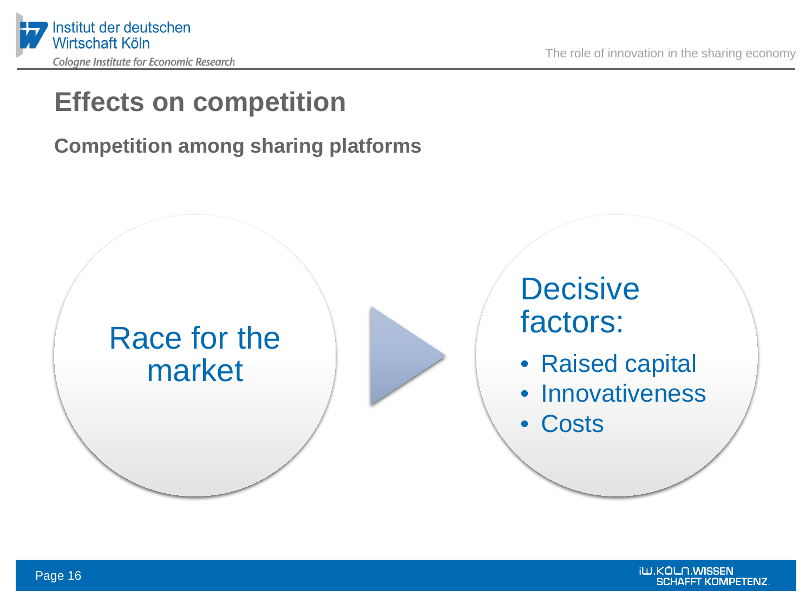



## **Effects on competition**

#### **Competition among sharing platforms**

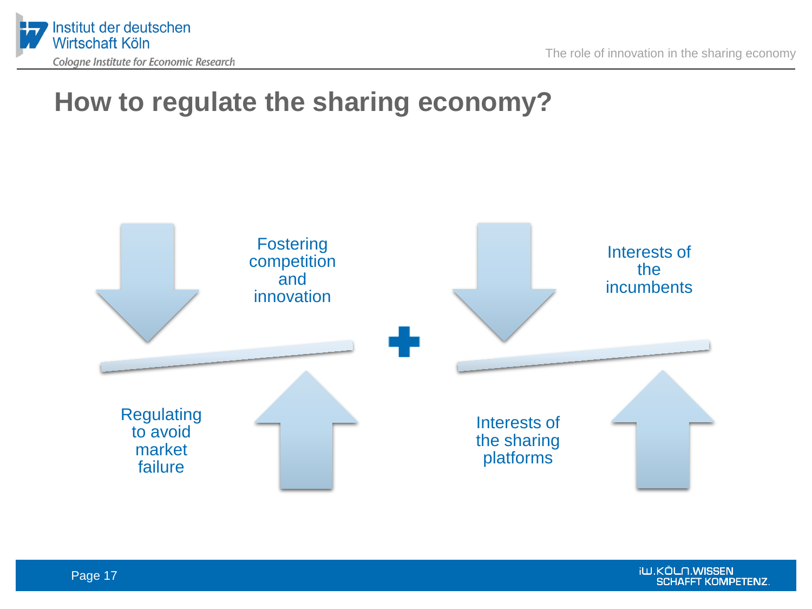



### **How to regulate the sharing economy?**